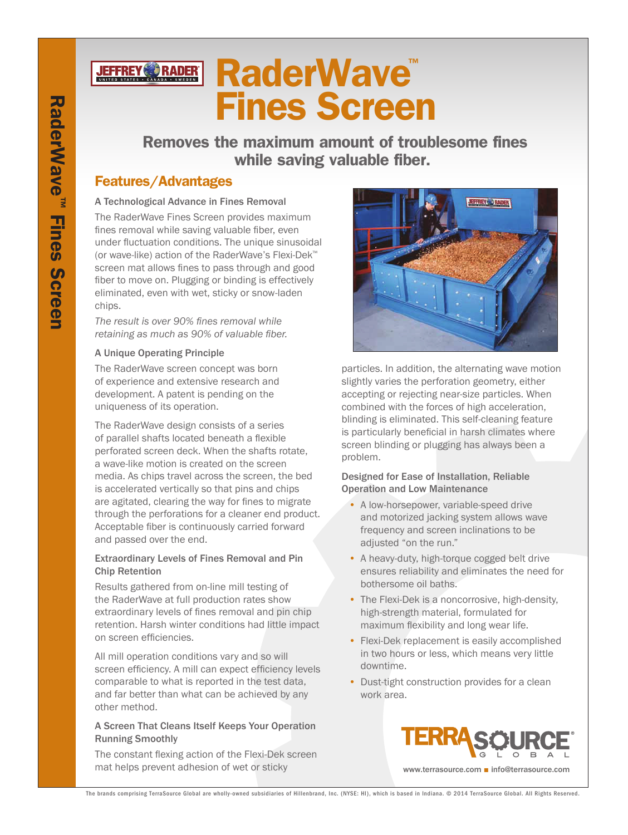

# **RaderWave** Fines Screen

 Removes the maximum amount of troublesome fines while saving valuable fiber.

## Features/Advantages

#### A Technological Advance in Fines Removal

The RaderWave Fines Screen provides maximum fines removal while saving valuable fiber, even under fluctuation conditions. The unique sinusoidal (or wave-like) action of the RaderWave's Flexi-Dek™ screen mat allows fines to pass through and good fiber to move on. Plugging or binding is effectively eliminated, even with wet, sticky or snow-laden chips.

*The result is over 90% fines removal while retaining as much as 90% of valuable fiber.*

#### A Unique Operating Principle

The RaderWave screen concept was born of experience and extensive research and development. A patent is pending on the uniqueness of its operation.

The RaderWave design consists of a series of parallel shafts located beneath a flexible perforated screen deck. When the shafts rotate, a wave-like motion is created on the screen media. As chips travel across the screen, the bed is accelerated vertically so that pins and chips are agitated, clearing the way for fines to migrate through the perforations for a cleaner end product. Acceptable fiber is continuously carried forward and passed over the end.

#### Extraordinary Levels of Fines Removal and Pin Chip Retention

Results gathered from on-line mill testing of the RaderWave at full production rates show extraordinary levels of fines removal and pin chip retention. Harsh winter conditions had little impact on screen efficiencies.

All mill operation conditions vary and so will screen efficiency. A mill can expect efficiency levels comparable to what is reported in the test data, and far better than what can be achieved by any other method.

#### A Screen That Cleans Itself Keeps Your Operation Running Smoothly

The constant flexing action of the Flexi-Dek screen mat helps prevent adhesion of wet or sticky



particles. In addition, the alternating wave motion slightly varies the perforation geometry, either accepting or rejecting near-size particles. When combined with the forces of high acceleration, blinding is eliminated. This self-cleaning feature is particularly beneficial in harsh climates where screen blinding or plugging has always been a problem.

#### Designed for Ease of Installation, Reliable Operation and Low Maintenance

- A low-horsepower, variable-speed drive and motorized jacking system allows wave frequency and screen inclinations to be adjusted "on the run."
- A heavy-duty, high-torque cogged belt drive ensures reliability and eliminates the need for bothersome oil baths.
- The Flexi-Dek is a noncorrosive, high-density, high-strength material, formulated for maximum flexibility and long wear life.
- Flexi-Dek replacement is easily accomplished in two hours or less, which means very little downtime.
- Dust-tight construction provides for a clean work area.